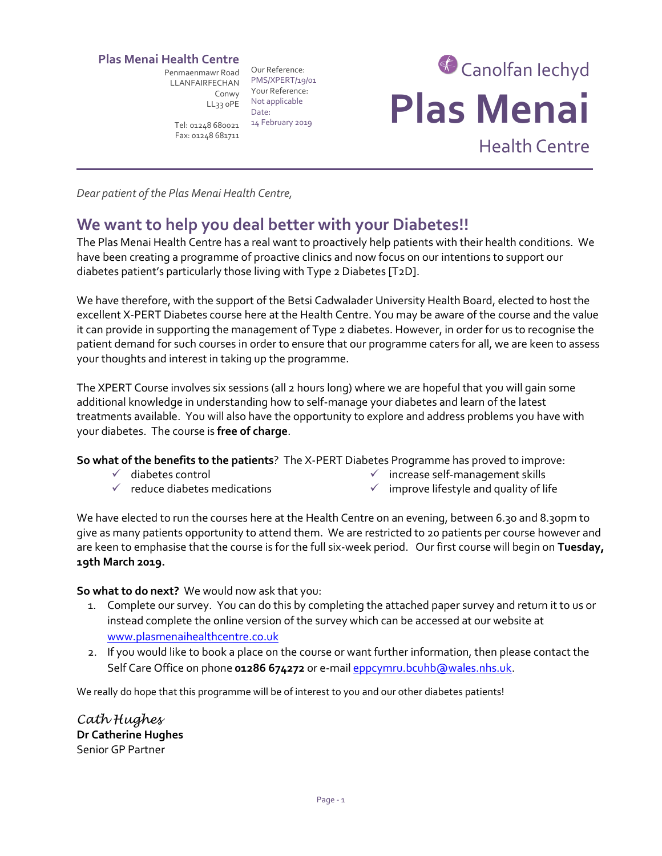### **Plas Menai Health Centre**

Penmaenmawr Road Our Reference: Conwy LL33 0PE

LLANFAIRFECHAN PMS/XPERT/19/01 Tel: 01248 680021 14 February 2019 Your Reference: Not applicable Date:



Fax: 01248 681711

*Dear patient of the Plas Menai Health Centre,*

# **We want to help you deal better with your Diabetes!!**

The Plas Menai Health Centre has a real want to proactively help patients with their health conditions. We have been creating a programme of proactive clinics and now focus on our intentions to support our diabetes patient's particularly those living with Type 2 Diabetes [T2D].

We have therefore, with the support of the Betsi Cadwalader University Health Board, elected to host the excellent X-PERT Diabetes course here at the Health Centre. You may be aware of the course and the value it can provide in supporting the management of Type 2 diabetes. However, in order for us to recognise the patient demand for such courses in order to ensure that our programme caters for all, we are keen to assess your thoughts and interest in taking up the programme.

The XPERT Course involves six sessions (all 2 hours long) where we are hopeful that you will gain some additional knowledge in understanding how to self-manage your diabetes and learn of the latest treatments available. You will also have the opportunity to explore and address problems you have with your diabetes. The course is **free of charge**.

**So what of the benefits to the patients**? The X-PERT Diabetes Programme has proved to improve:

 $\checkmark$  diabetes control

 $\checkmark$  reduce diabetes medications

- $\checkmark$  increase self-management skills
- $\checkmark$  improve lifestyle and quality of life

We have elected to run the courses here at the Health Centre on an evening, between 6.30 and 8.30pm to give as many patients opportunity to attend them. We are restricted to 20 patients per course however and are keen to emphasise that the course is for the full six-week period. Our first course will begin on **Tuesday, 19th March 2019.**

**So what to do next?** We would now ask that you:

- 1. Complete our survey. You can do this by completing the attached paper survey and return it to us or instead complete the online version of the survey which can be accessed at our website at [www.plasmenaihealthcentre.co.uk](http://www.plasmenaihealthcentre.co.uk/)
- 2. If you would like to book a place on the course or want further information, then please contact the Self Care Office on phone 01286 674272 or e-mai[l eppcymru.bcuhb@wales.nhs.uk.](mailto:eppcymru.bcuhb@wales.nhs.uk)

We really do hope that this programme will be of interest to you and our other diabetes patients!

*Cath Hughes* **Dr Catherine Hughes** Senior GP Partner